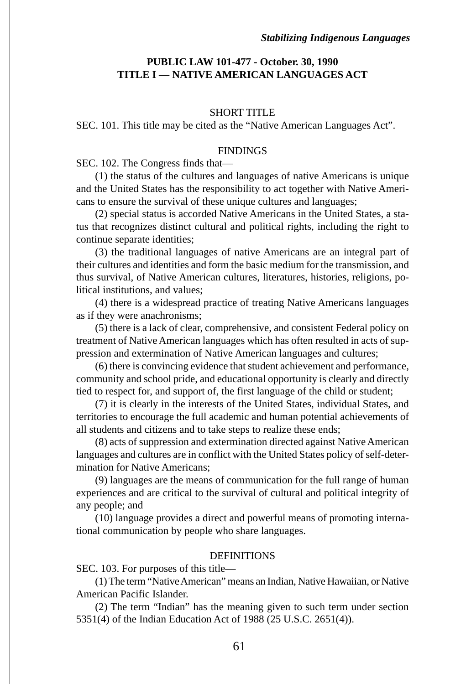# **PUBLIC LAW 101-477 - October. 30, 1990 TITLE I** — **NATIVE AMERICAN LANGUAGES ACT**

## SHORT TITLE

SEC. 101. This title may be cited as the "Native American Languages Act".

## FINDINGS

SEC. 102. The Congress finds that—

(1) the status of the cultures and languages of native Americans is unique and the United States has the responsibility to act together with Native Americans to ensure the survival of these unique cultures and languages;

(2) special status is accorded Native Americans in the United States, a status that recognizes distinct cultural and political rights, including the right to continue separate identities;

(3) the traditional languages of native Americans are an integral part of their cultures and identities and form the basic medium for the transmission, and thus survival, of Native American cultures, literatures, histories, religions, political institutions, and values;

(4) there is a widespread practice of treating Native Americans languages as if they were anachronisms;

(5) there is a lack of clear, comprehensive, and consistent Federal policy on treatment of Native American languages which has often resulted in acts of suppression and extermination of Native American languages and cultures;

(6) there is convincing evidence that student achievement and performance, community and school pride, and educational opportunity is clearly and directly tied to respect for, and support of, the first language of the child or student;

(7) it is clearly in the interests of the United States, individual States, and territories to encourage the full academic and human potential achievements of all students and citizens and to take steps to realize these ends;

(8) acts of suppression and extermination directed against Native American languages and cultures are in conflict with the United States policy of self-determination for Native Americans;

(9) languages are the means of communication for the full range of human experiences and are critical to the survival of cultural and political integrity of any people; and

(10) language provides a direct and powerful means of promoting international communication by people who share languages.

# DEFINITIONS

SEC. 103. For purposes of this title—

(1) The term "Native American" means an Indian, Native Hawaiian, or Native American Pacific Islander.

(2) The term "Indian" has the meaning given to such term under section 5351(4) of the Indian Education Act of 1988 (25 U.S.C. 2651(4)).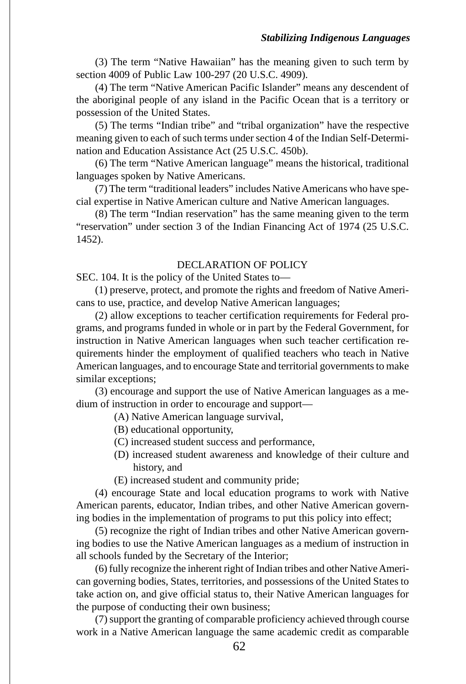(3) The term "Native Hawaiian" has the meaning given to such term by section 4009 of Public Law 100-297 (20 U.S.C. 4909).

(4) The term "Native American Pacific Islander" means any descendent of the aboriginal people of any island in the Pacific Ocean that is a territory or possession of the United States.

(5) The terms "Indian tribe" and "tribal organization" have the respective meaning given to each of such terms under section 4 of the Indian Self-Determination and Education Assistance Act (25 U.S.C. 450b).

(6) The term "Native American language" means the historical, traditional languages spoken by Native Americans.

(7) The term "traditional leaders" includes Native Americans who have special expertise in Native American culture and Native American languages.

(8) The term "Indian reservation" has the same meaning given to the term "reservation" under section 3 of the Indian Financing Act of 1974 (25 U.S.C. 1452).

# DECLARATION OF POLICY

SEC. 104. It is the policy of the United States to—

(1) preserve, protect, and promote the rights and freedom of Native Americans to use, practice, and develop Native American languages;

(2) allow exceptions to teacher certification requirements for Federal programs, and programs funded in whole or in part by the Federal Government, for instruction in Native American languages when such teacher certification requirements hinder the employment of qualified teachers who teach in Native American languages, and to encourage State and territorial governments to make similar exceptions;

(3) encourage and support the use of Native American languages as a medium of instruction in order to encourage and support—

(A) Native American language survival,

- (B) educational opportunity,
- (C) increased student success and performance,
- (D) increased student awareness and knowledge of their culture and history, and
- (E) increased student and community pride;

(4) encourage State and local education programs to work with Native American parents, educator, Indian tribes, and other Native American governing bodies in the implementation of programs to put this policy into effect;

(5) recognize the right of Indian tribes and other Native American governing bodies to use the Native American languages as a medium of instruction in all schools funded by the Secretary of the Interior;

(6) fully recognize the inherent right of Indian tribes and other Native American governing bodies, States, territories, and possessions of the United States to take action on, and give official status to, their Native American languages for the purpose of conducting their own business;

(7) support the granting of comparable proficiency achieved through course work in a Native American language the same academic credit as comparable